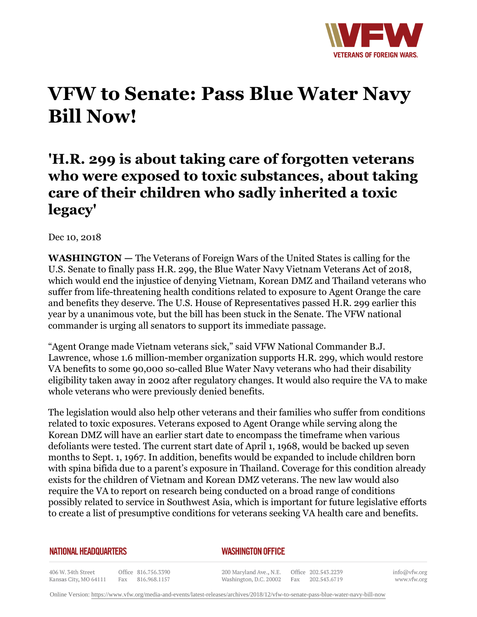

## **VFW to Senate: Pass Blue Water Navy Bill Now!**

## **'H.R. 299 is about taking care of forgotten veterans who were exposed to toxic substances, about taking care of their children who sadly inherited a toxic legacy'**

Dec 10, 2018

**WASHINGTON —** The Veterans of Foreign Wars of the United States is calling for the U.S. Senate to finally pass H.R. 299, the Blue Water Navy Vietnam Veterans Act of 2018, which would end the injustice of denying Vietnam, Korean DMZ and Thailand veterans who suffer from life-threatening health conditions related to exposure to Agent Orange the care and benefits they deserve. The U.S. House of Representatives passed H.R. 299 earlier this year by a unanimous vote, but the bill has been stuck in the Senate. The VFW national commander is urging all senators to support its immediate passage.

"Agent Orange made Vietnam veterans sick," said VFW National Commander B.J. Lawrence, whose 1.6 million-member organization supports H.R. 299, which would restore VA benefits to some 90,000 so-called Blue Water Navy veterans who had their disability eligibility taken away in 2002 after regulatory changes. It would also require the VA to make whole veterans who were previously denied benefits.

The legislation would also help other veterans and their families who suffer from conditions related to toxic exposures. Veterans exposed to Agent Orange while serving along the Korean DMZ will have an earlier start date to encompass the timeframe when various defoliants were tested. The current start date of April 1, 1968, would be backed up seven months to Sept. 1, 1967. In addition, benefits would be expanded to include children born with spina bifida due to a parent's exposure in Thailand. Coverage for this condition already exists for the children of Vietnam and Korean DMZ veterans. The new law would also require the VA to report on research being conducted on a broad range of conditions possibly related to service in Southwest Asia, which is important for future legislative efforts to create a list of presumptive conditions for veterans seeking VA health care and benefits.

## **NATIONAL HEADQUARTERS**

## *WASHINGTON OFFICE*

406 W. 34th Street Office 816.756.3390 Kansas City, MO 64111 Fax 816.968.1157

200 Maryland Ave., N.E. Washington, D.C. 20002

Office 202.543.2239 Fax 202.543.6719

info@vfw.org www.vfw.org

Online Version:<https://www.vfw.org/media-and-events/latest-releases/archives/2018/12/vfw-to-senate-pass-blue-water-navy-bill-now>